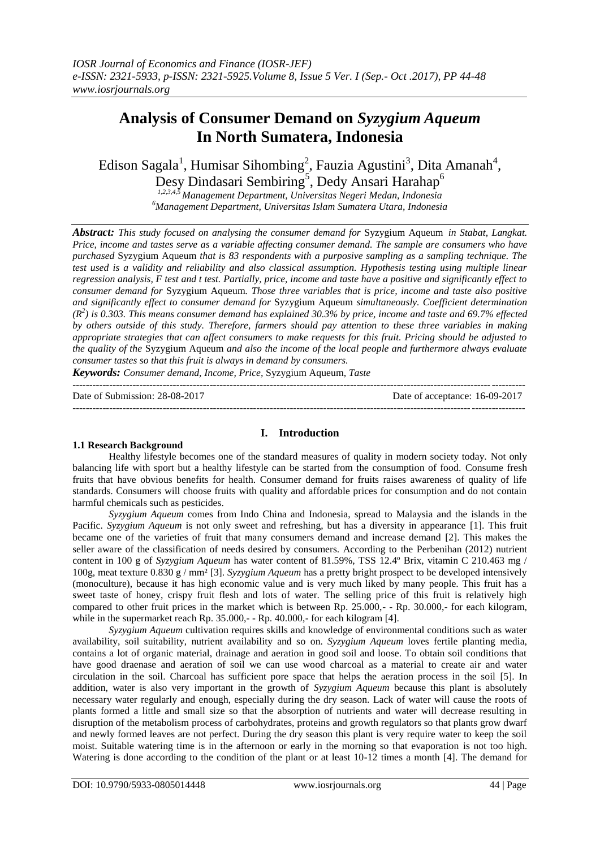# **Analysis of Consumer Demand on** *Syzygium Aqueum* **In North Sumatera, Indonesia**

Edison Sagala<sup>1</sup>, Humisar Sihombing<sup>2</sup>, Fauzia Agustini<sup>3</sup>, Dita Amanah<sup>4</sup>, Desy Dindasari Sembiring<sup>5</sup>, Dedy Ansari Harahap<sup>6</sup>

*1,2,3,4,5 Management Department, Universitas Negeri Medan, Indonesia <sup>6</sup>Management Department, Universitas Islam Sumatera Utara, Indonesia*

*Abstract: This study focused on analysing the consumer demand for* Syzygium Aqueum *in Stabat, Langkat. Price, income and tastes serve as a variable affecting consumer demand. The sample are consumers who have purchased* Syzygium Aqueum *that is 83 respondents with a purposive sampling as a sampling technique. The test used is a validity and reliability and also classical assumption. Hypothesis testing using multiple linear regression analysis, F test and t test. Partially, price, income and taste have a positive and significantly effect to consumer demand for* Syzygium Aqueum*. Those three variables that is price, income and taste also positive and significantly effect to consumer demand for* Syzygium Aqueum *simultaneously. Coefficient determination (R<sup>2</sup> ) is 0.303. This means consumer demand has explained 30.3% by price, income and taste and 69.7% effected by others outside of this study. Therefore, farmers should pay attention to these three variables in making appropriate strategies that can affect consumers to make requests for this fruit. Pricing should be adjusted to the quality of the* Syzygium Aqueum *and also the income of the local people and furthermore always evaluate consumer tastes so that this fruit is always in demand by consumers.*

*Keywords: Consumer demand, Income, Price,* Syzygium Aqueum*, Taste*

--------------------------------------------------------------------------------------------------------------------------------------- Date of Submission: 28-08-2017 Date of acceptance: 16-09-2017 ---------------------------------------------------------------------------------------------------------------------------------------

## **I. Introduction**

## **1.1 Research Background**

Healthy lifestyle becomes one of the standard measures of quality in modern society today. Not only balancing life with sport but a healthy lifestyle can be started from the consumption of food. Consume fresh fruits that have obvious benefits for health. Consumer demand for fruits raises awareness of quality of life standards. Consumers will choose fruits with quality and affordable prices for consumption and do not contain harmful chemicals such as pesticides.

*Syzygium Aqueum* comes from Indo China and Indonesia, spread to Malaysia and the islands in the Pacific. *Syzygium Aqueum* is not only sweet and refreshing, but has a diversity in appearance [1]. This fruit became one of the varieties of fruit that many consumers demand and increase demand [2]. This makes the seller aware of the classification of needs desired by consumers. According to the Perbenihan (2012) nutrient content in 100 g of *Syzygium Aqueum* has water content of 81.59%, TSS 12.4º Brix, vitamin C 210.463 mg / 100g, meat texture 0.830 g / mm² [3]. *Syzygium Aqueum* has a pretty bright prospect to be developed intensively (monoculture), because it has high economic value and is very much liked by many people. This fruit has a sweet taste of honey, crispy fruit flesh and lots of water. The selling price of this fruit is relatively high compared to other fruit prices in the market which is between Rp. 25.000,- - Rp. 30.000,- for each kilogram, while in the supermarket reach Rp. 35.000,- - Rp. 40.000,- for each kilogram [4].

*Syzygium Aqueum* cultivation requires skills and knowledge of environmental conditions such as water availability, soil suitability, nutrient availability and so on. *Syzygium Aqueum* loves fertile planting media, contains a lot of organic material, drainage and aeration in good soil and loose. To obtain soil conditions that have good draenase and aeration of soil we can use wood charcoal as a material to create air and water circulation in the soil. Charcoal has sufficient pore space that helps the aeration process in the soil [5]. In addition, water is also very important in the growth of *Syzygium Aqueum* because this plant is absolutely necessary water regularly and enough, especially during the dry season. Lack of water will cause the roots of plants formed a little and small size so that the absorption of nutrients and water will decrease resulting in disruption of the metabolism process of carbohydrates, proteins and growth regulators so that plants grow dwarf and newly formed leaves are not perfect. During the dry season this plant is very require water to keep the soil moist. Suitable watering time is in the afternoon or early in the morning so that evaporation is not too high. Watering is done according to the condition of the plant or at least 10-12 times a month [4]. The demand for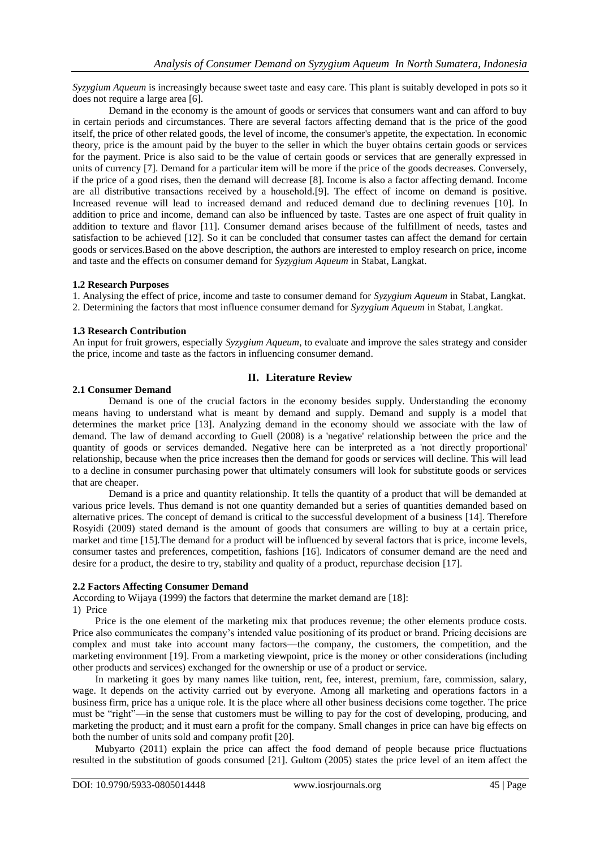*Syzygium Aqueum* is increasingly because sweet taste and easy care. This plant is suitably developed in pots so it does not require a large area [6].

Demand in the economy is the amount of goods or services that consumers want and can afford to buy in certain periods and circumstances. There are several factors affecting demand that is the price of the good itself, the price of other related goods, the level of income, the consumer's appetite, the expectation. In economic theory, price is the amount paid by the buyer to the seller in which the buyer obtains certain goods or services for the payment. Price is also said to be the value of certain goods or services that are generally expressed in units of currency [7]. Demand for a particular item will be more if the price of the goods decreases. Conversely, if the price of a good rises, then the demand will decrease [8]. Income is also a factor affecting demand. Income are all distributive transactions received by a household.[9]. The effect of income on demand is positive. Increased revenue will lead to increased demand and reduced demand due to declining revenues [10]. In addition to price and income, demand can also be influenced by taste. Tastes are one aspect of fruit quality in addition to texture and flavor [11]. Consumer demand arises because of the fulfillment of needs, tastes and satisfaction to be achieved [12]. So it can be concluded that consumer tastes can affect the demand for certain goods or services.Based on the above description, the authors are interested to employ research on price, income and taste and the effects on consumer demand for *Syzygium Aqueum* in Stabat, Langkat.

## **1.2 Research Purposes**

1. Analysing the effect of price, income and taste to consumer demand for *Syzygium Aqueum* in Stabat, Langkat. 2. Determining the factors that most influence consumer demand for *Syzygium Aqueum* in Stabat, Langkat.

## **1.3 Research Contribution**

An input for fruit growers, especially *Syzygium Aqueum*, to evaluate and improve the sales strategy and consider the price, income and taste as the factors in influencing consumer demand.

# **II. Literature Review**

## **2.1 Consumer Demand**

Demand is one of the crucial factors in the economy besides supply. Understanding the economy means having to understand what is meant by demand and supply. Demand and supply is a model that determines the market price [13]. Analyzing demand in the economy should we associate with the law of demand. The law of demand according to Guell (2008) is a 'negative' relationship between the price and the quantity of goods or services demanded. Negative here can be interpreted as a 'not directly proportional' relationship, because when the price increases then the demand for goods or services will decline. This will lead to a decline in consumer purchasing power that ultimately consumers will look for substitute goods or services that are cheaper.

Demand is a price and quantity relationship. It tells the quantity of a product that will be demanded at various price levels. Thus demand is not one quantity demanded but a series of quantities demanded based on alternative prices. The concept of demand is critical to the successful development of a business [14]. Therefore Rosyidi (2009) stated demand is the amount of goods that consumers are willing to buy at a certain price, market and time [15].The demand for a product will be influenced by several factors that is price, income levels, consumer tastes and preferences, competition, fashions [16]. Indicators of consumer demand are the need and desire for a product, the desire to try, stability and quality of a product, repurchase decision [17].

# **2.2 Factors Affecting Consumer Demand**

According to Wijaya (1999) the factors that determine the market demand are [18]: 1) Price

Price is the one element of the marketing mix that produces revenue; the other elements produce costs. Price also communicates the company's intended value positioning of its product or brand. Pricing decisions are complex and must take into account many factors—the company, the customers, the competition, and the marketing environment [19]. From a marketing viewpoint, price is the money or other considerations (including other products and services) exchanged for the ownership or use of a product or service.

In marketing it goes by many names like tuition, rent, fee, interest, premium, fare, commission, salary, wage. It depends on the activity carried out by everyone. Among all marketing and operations factors in a business firm, price has a unique role. It is the place where all other business decisions come together. The price must be "right"—in the sense that customers must be willing to pay for the cost of developing, producing, and marketing the product; and it must earn a profit for the company. Small changes in price can have big effects on both the number of units sold and company profit [20].

Mubyarto (2011) explain the price can affect the food demand of people because price fluctuations resulted in the substitution of goods consumed [21]. Gultom (2005) states the price level of an item affect the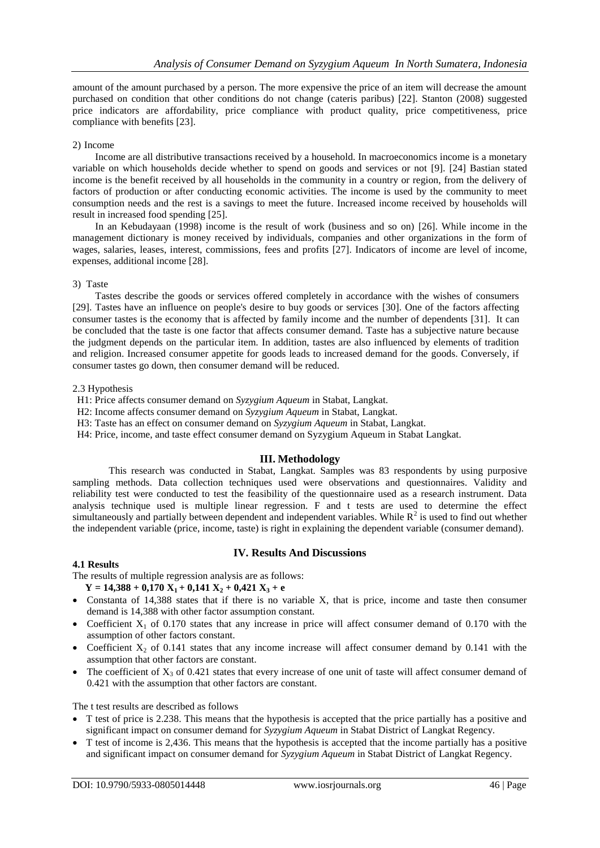amount of the amount purchased by a person. The more expensive the price of an item will decrease the amount purchased on condition that other conditions do not change (cateris paribus) [22]. Stanton (2008) suggested price indicators are affordability, price compliance with product quality, price competitiveness, price compliance with benefits [23].

#### 2) Income

Income are all distributive transactions received by a household. In macroeconomics income is a monetary variable on which households decide whether to spend on goods and services or not [9]. [24] Bastian stated income is the benefit received by all households in the community in a country or region, from the delivery of factors of production or after conducting economic activities. The income is used by the community to meet consumption needs and the rest is a savings to meet the future. Increased income received by households will result in increased food spending [25].

In an Kebudayaan (1998) income is the result of work (business and so on) [26]. While income in the management dictionary is money received by individuals, companies and other organizations in the form of wages, salaries, leases, interest, commissions, fees and profits [27]. Indicators of income are level of income, expenses, additional income [28].

#### 3) Taste

Tastes describe the goods or services offered completely in accordance with the wishes of consumers [29]. Tastes have an influence on people's desire to buy goods or services [30]. One of the factors affecting consumer tastes is the economy that is affected by family income and the number of dependents [31]. It can be concluded that the taste is one factor that affects consumer demand. Taste has a subjective nature because the judgment depends on the particular item. In addition, tastes are also influenced by elements of tradition and religion. Increased consumer appetite for goods leads to increased demand for the goods. Conversely, if consumer tastes go down, then consumer demand will be reduced.

#### 2.3 Hypothesis

- H1: Price affects consumer demand on *Syzygium Aqueum* in Stabat, Langkat.
- H2: Income affects consumer demand on *Syzygium Aqueum* in Stabat, Langkat.
- H3: Taste has an effect on consumer demand on *Syzygium Aqueum* in Stabat, Langkat.
- H4: Price, income, and taste effect consumer demand on Syzygium Aqueum in Stabat Langkat.

## **III. Methodology**

This research was conducted in Stabat, Langkat. Samples was 83 respondents by using purposive sampling methods. Data collection techniques used were observations and questionnaires. Validity and reliability test were conducted to test the feasibility of the questionnaire used as a research instrument. Data analysis technique used is multiple linear regression. F and t tests are used to determine the effect simultaneously and partially between dependent and independent variables. While  $R^2$  is used to find out whether the independent variable (price, income, taste) is right in explaining the dependent variable (consumer demand).

## **IV. Results And Discussions**

## **4.1 Results**

The results of multiple regression analysis are as follows:

- $Y = 14,388 + 0,170$   $X_1 + 0,141$   $X_2 + 0,421$   $X_3 + e$
- Constanta of 14,388 states that if there is no variable X, that is price, income and taste then consumer demand is 14,388 with other factor assumption constant.
- Coefficient  $X_1$  of 0.170 states that any increase in price will affect consumer demand of 0.170 with the assumption of other factors constant.
- Coefficient  $X_2$  of 0.141 states that any income increase will affect consumer demand by 0.141 with the assumption that other factors are constant.
- The coefficient of  $X_3$  of 0.421 states that every increase of one unit of taste will affect consumer demand of 0.421 with the assumption that other factors are constant.

The t test results are described as follows

- T test of price is 2.238. This means that the hypothesis is accepted that the price partially has a positive and significant impact on consumer demand for *Syzygium Aqueum* in Stabat District of Langkat Regency.
- T test of income is 2,436. This means that the hypothesis is accepted that the income partially has a positive and significant impact on consumer demand for *Syzygium Aqueum* in Stabat District of Langkat Regency.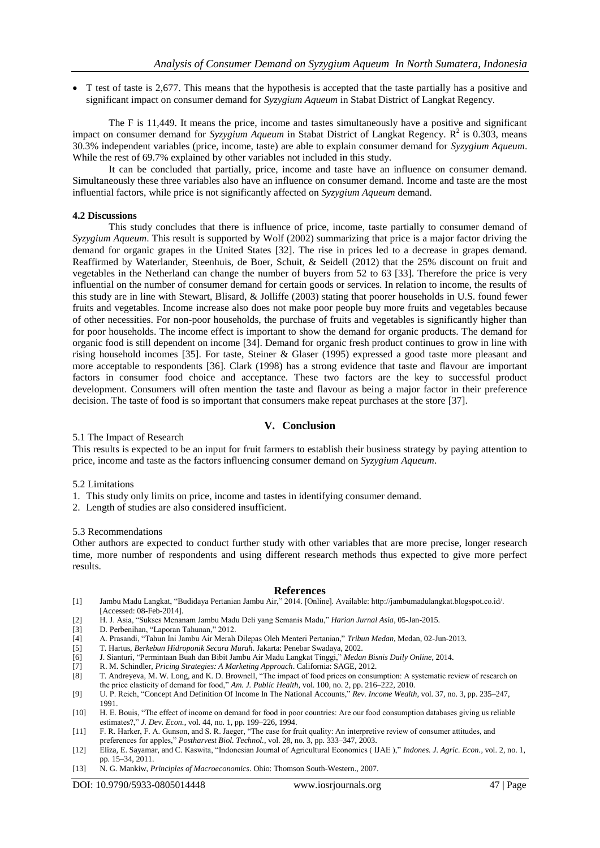T test of taste is 2,677. This means that the hypothesis is accepted that the taste partially has a positive and significant impact on consumer demand for *Syzygium Aqueum* in Stabat District of Langkat Regency.

The F is 11,449. It means the price, income and tastes simultaneously have a positive and significant impact on consumer demand for *Syzygium Aqueum* in Stabat District of Langkat Regency. R<sup>2</sup> is 0.303, means 30.3% independent variables (price, income, taste) are able to explain consumer demand for *Syzygium Aqueum*. While the rest of 69.7% explained by other variables not included in this study.

It can be concluded that partially, price, income and taste have an influence on consumer demand. Simultaneously these three variables also have an influence on consumer demand. Income and taste are the most influential factors, while price is not significantly affected on *Syzygium Aqueum* demand.

#### **4.2 Discussions**

This study concludes that there is influence of price, income, taste partially to consumer demand of *Syzygium Aqueum*. This result is supported by Wolf (2002) summarizing that price is a major factor driving the demand for organic grapes in the United States [32]. The rise in prices led to a decrease in grapes demand. Reaffirmed by Waterlander, Steenhuis, de Boer, Schuit, & Seidell (2012) that the 25% discount on fruit and vegetables in the Netherland can change the number of buyers from 52 to 63 [33]. Therefore the price is very influential on the number of consumer demand for certain goods or services. In relation to income, the results of this study are in line with Stewart, Blisard, & Jolliffe (2003) stating that poorer households in U.S. found fewer fruits and vegetables. Income increase also does not make poor people buy more fruits and vegetables because of other necessities. For non-poor households, the purchase of fruits and vegetables is significantly higher than for poor households. The income effect is important to show the demand for organic products. The demand for organic food is still dependent on income [34]. Demand for organic fresh product continues to grow in line with rising household incomes [35]. For taste, Steiner & Glaser (1995) expressed a good taste more pleasant and more acceptable to respondents [36]. Clark (1998) has a strong evidence that taste and flavour are important factors in consumer food choice and acceptance. These two factors are the key to successful product development. Consumers will often mention the taste and flavour as being a major factor in their preference decision. The taste of food is so important that consumers make repeat purchases at the store [37].

## **V. Conclusion**

5.1 The Impact of Research

This results is expected to be an input for fruit farmers to establish their business strategy by paying attention to price, income and taste as the factors influencing consumer demand on *Syzygium Aqueum*.

- 5.2 Limitations
- 1. This study only limits on price, income and tastes in identifying consumer demand.
- 2. Length of studies are also considered insufficient.

#### 5.3 Recommendations

Other authors are expected to conduct further study with other variables that are more precise, longer research time, more number of respondents and using different research methods thus expected to give more perfect results.

#### **References**

- [1] Jambu Madu Langkat, "Budidaya Pertanian Jambu Air," 2014. [Online]. Available: http://jambumadulangkat.blogspot.co.id/. [Accessed: 08-Feb-2014].
- [2] H. J. Asia, "Sukses Menanam Jambu Madu Deli yang Semanis Madu," *Harian Jurnal Asia*, 05-Jan-2015.
- [3] D. Perbenihan, "Laporan Tahunan," 2012.<br>[4] A. Prasandi, "Tahun Ini Jambu Air Merah
- [4] A. Prasandi, "Tahun Ini Jambu Air Merah Dilepas Oleh Menteri Pertanian," *Tribun Medan*, Medan, 02-Jun-2013.
- [5] T. Hartus, *Berkebun Hidroponik Secara Murah*. Jakarta: Penebar Swadaya, 2002.
- [6] J. Sianturi, "Permintaan Buah dan Bibit Jambu Air Madu Langkat Tinggi," *Medan Bisnis Daily Online*, 2014.
- [7] R. M. Schindler, *Pricing Strategies: A Marketing Approach*. California: SAGE, 2012.
- [8] T. Andreyeva, M. W. Long, and K. D. Brownell, "The impact of food prices on consumption: A systematic review of research on the price elasticity of demand for food," *Am. J. Public Health*, vol. 100, no. 2, pp. 216–222, 2010.
- [9] U. P. Reich, "Concept And Definition Of Income In The National Accounts," *Rev. Income Wealth*, vol. 37, no. 3, pp. 235–247, 1991.
- [10] H. E. Bouis, "The effect of income on demand for food in poor countries: Are our food consumption databases giving us reliable estimates?," *J. Dev. Econ.*, vol. 44, no. 1, pp. 199–226, 1994.
- [11] F. R. Harker, F. A. Gunson, and S. R. Jaeger, "The case for fruit quality: An interpretive review of consumer attitudes, and preferences for apples," *Postharvest Biol. Technol.*, vol. 28, no. 3, pp. 333–347, 2003.
- [12] Eliza, E. Sayamar, and C. Kaswita, "Indonesian Journal of Agricultural Economics ( IJAE )," *Indones. J. Agric. Econ.*, vol. 2, no. 1, pp. 15–34, 2011.
- [13] N. G. Mankiw, *Principles of Macroeconomics*. Ohio: Thomson South-Western., 2007.